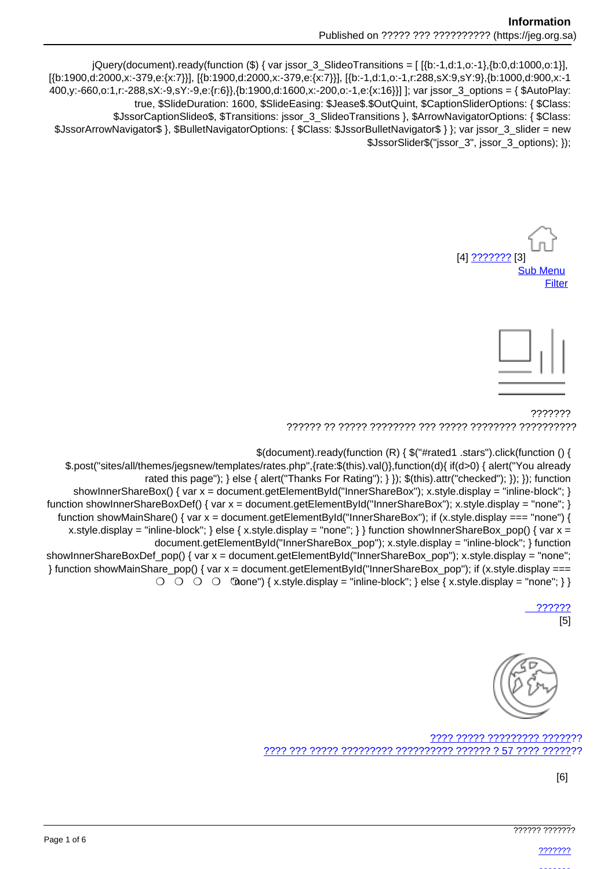jQuery(document).ready(function (\$) { var jssor\_3\_SlideoTransitions = [[{b:-1,d:1,o:-1},{b:0,d:1000,o:1}], [{b:1900.d:2000.x:-379.e:{x:7}}], [{b:1900.d:2000.x:-379.e:{x:7}}], [{b:-1.d:1.o:-1.r:288.sX:9.sY:9}, {b:1000.d:900.x:-1 400,y:-660,o:1,r:-288,sX:-9,sY:-9,e:{r:6}},{b:1900,d:1600,x:-200,o:-1,e:{x:16}}] ]; var jssor\_3\_options = { \$AutoPlay: true, \$SlideDuration: 1600, \$SlideEasing: \$Jease\$.\$OutQuint, \$CaptionSliderOptions: { \$Class: \$JssorCaptionSlideo\$, \$Transitions: jssor\_3\_SlideoTransitions }, \$ArrowNavigatorOptions: { \$Class: \$JssorArrowNavigator\$ }, \$BulletNavigatorOptions: { \$Class: \$JssorBulletNavigator\$ } }; var jssor\_3\_slider = new \$JssorSlider\$("jssor 3", jssor 3 options); });





7777777 

\$(document).ready(function (R) { \$("#rated1 .stars").click(function () {

\$.post("sites/all/themes/jegsnew/templates/rates.php",{rate:\$(this).val()},function(d){ if(d>0) { alert("You already rated this page"); } else { alert("Thanks For Rating"); } }); \$(this).attr("checked"); }); }); function showInnerShareBox() { var  $x =$  document.getElementById("InnerShareBox"); x.style.display = "inline-block"; } function showInnerShareBoxDef() { var x = document.getElementById("InnerShareBox"); x.style.display = "none"; } function showMainShare() { var  $x =$  document.getElementById("InnerShareBox"); if (x.style.display === "none") { x.style.display = "inline-block"; } else { x.style.display = "none"; } } function show Inner ShareBox pop() { var  $x =$ document.getElementById("InnerShareBox pop"); x.style.display = "inline-block"; } function showInnerShareBoxDef\_pop() { var x = document.getElementById("InnerShareBox\_pop"); x.style.display = "none"; } function showMainShare\_pop() { var x = document.getElementById("InnerShareBox\_pop"); if (x.style.display ===  $\bigcirc$   $\bigcirc$   $\bigcirc$   $\bigcirc$   $\bigcirc$   $\bigcirc$   $\bigcirc$   $\bigcirc$   $\bigcirc$   $\bigcirc$   $\bigcirc$   $\bigcirc$   $\bigcirc$   $\bigcirc$   $\bigcirc$   $\bigcirc$   $\bigcirc$   $\bigcirc$   $\bigcirc$   $\bigcirc$   $\bigcirc$   $\bigcirc$   $\bigcirc$   $\bigcirc$   $\bigcirc$   $\bigcirc$   $\bigcirc$   $\bigcirc$   $\bigcirc$   $\bigcirc$   $\bigcirc$   $\bigcirc$   $\bigcirc$   $\bigcirc$   $\bigcirc$   $\bigcirc$   $\bigcirc$ 

777777

 $[5]$ 



???? ????? ????????? ??????? 

 $[6]$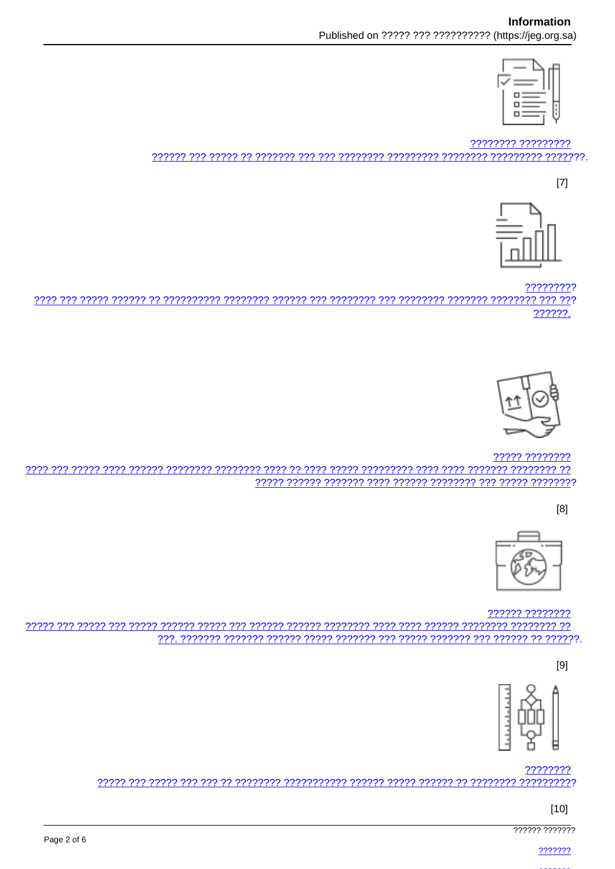

???????? ????????? 

 $[7]$ 



????????? 

??????.



????? ????????

 $[8]$ 



?????? ???????? 

 $[9]$ 



????????

 $[10]$ 

777777 777777

2222222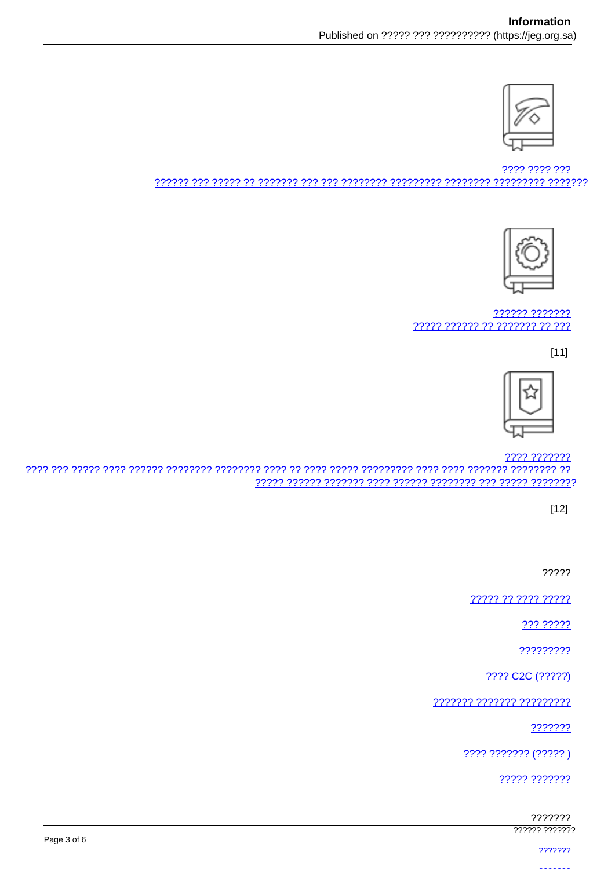

???? ???? ??? 



?????? ??????? ????? ?????? ?? ??????? ?? ???

 $[11]$ 



2222 2222222

 $[12]$ 

?????

22222.22.2222.22222

222 22222

?????????

???? C2C (?????)

777777 7777777 777777777

???????

???? ??????? (????? )

????? ???????

| ???????        |
|----------------|
| ,,,,,,,,,,,,,, |

2222222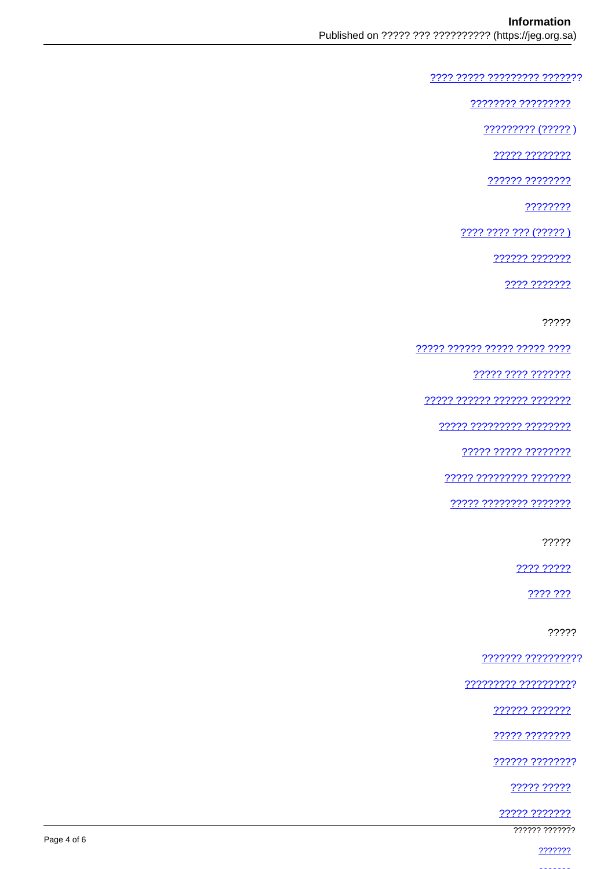???? ????? ????????? ???????

<u>???????? ??????????</u>

????????? (????? )

????? ????????

?????? ????????

????????

???? ???? ??? (????? )

?????? ???????

2222 2222222

?????

????? ?????? ????? ????? ????

77777 7777 7777777

77777 777777 777777 7777777

77777 777777777 77777777

????? ????? ????????

<u> ????? ????????? ???????</u>

<u> ????? ???????? ????????</u>

?????

???? ?????

???? ???

?????

??????? ??????????

????????? ??????????

?????? ???????

????? ????????

?????? ????????

????? ?????

????? ???????

777777 7777777

2222222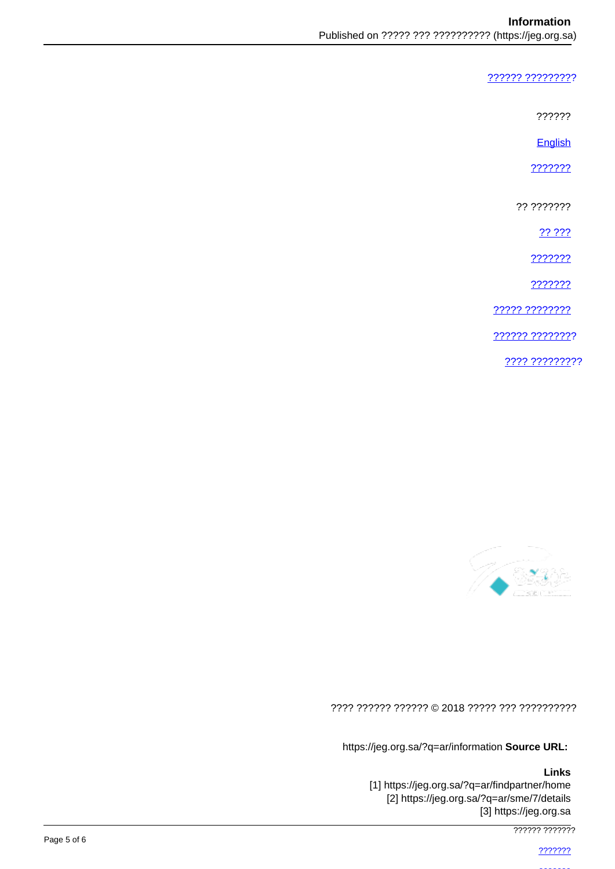## [????????? ??????](/information#)

??????

**[English](https://jeg.org.sa/)** 

[???????](https://jeg.org.sa/?q=ar)

??????? ??

[??? ??](https://jeg.org.sa/?q=ar/page/2)?

[???????](https://jeg.org.sa/?q=ar/void%280%29)

[???????](https://jeg.org.sa/?q=ar/void%280%29)

[???????? ?????](https://jeg.org.sa/?q=ar/page/4)

[???????? ??????](https://jeg.org.sa/?q=ar/page/3)

?[???????? ????](https://jeg.org.sa/?q=ar/void%280%29)



?????????? ??? ????? 2018 © ?????? ?????? ????

https://jeg.org.sa/?q=ar/information Source URL:

## **Links**

[1] https://jeg.org.sa/?q=ar/findpartner/home [2] https://jeg.org.sa/?q=ar/sme/7/details [3] https://jeg.org.sa

??????? ??????

[???????](https://jeg.org.sa/?q=ar/businesssectors/464) ......